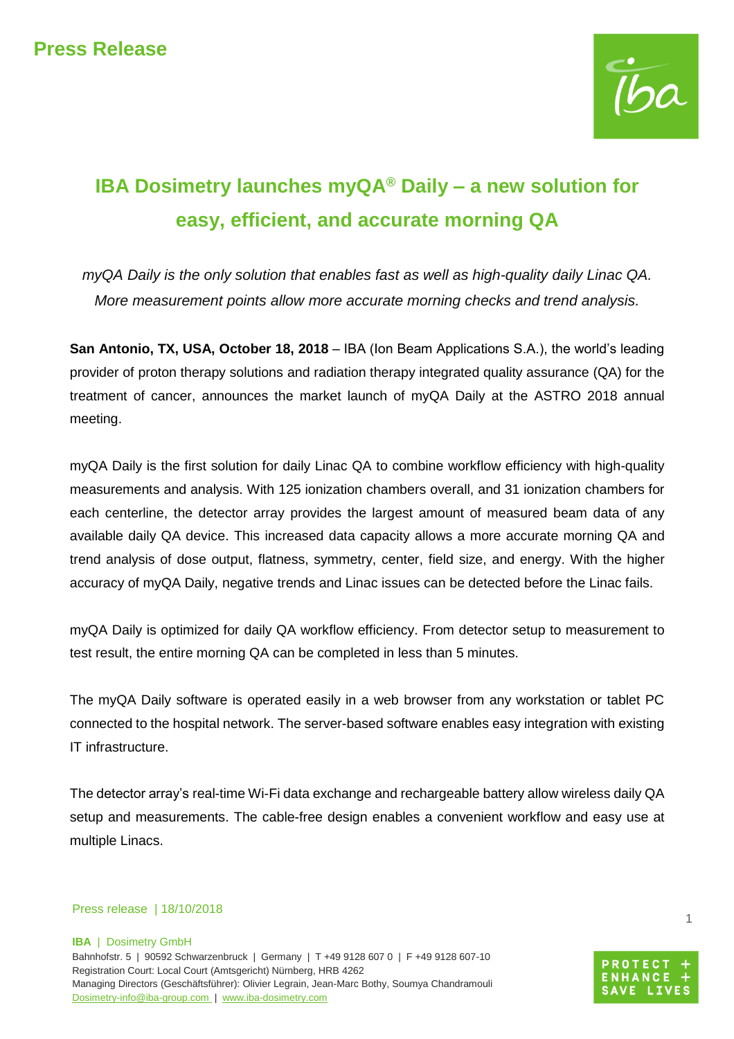

# **IBA Dosimetry launches myQA® Daily – a new solution for easy, efficient, and accurate morning QA**

*myQA Daily is the only solution that enables fast as well as high-quality daily Linac QA. More measurement points allow more accurate morning checks and trend analysis.*

**San Antonio, TX, USA, October 18, 2018** – IBA (Ion Beam Applications S.A.), the world's leading provider of proton therapy solutions and radiation therapy integrated quality assurance (QA) for the treatment of cancer, announces the market launch of myQA Daily at the ASTRO 2018 annual meeting.

myQA Daily is the first solution for daily Linac QA to combine workflow efficiency with high-quality measurements and analysis. With 125 ionization chambers overall, and 31 ionization chambers for each centerline, the detector array provides the largest amount of measured beam data of any available daily QA device. This increased data capacity allows a more accurate morning QA and trend analysis of dose output, flatness, symmetry, center, field size, and energy. With the higher accuracy of myQA Daily, negative trends and Linac issues can be detected before the Linac fails.

myQA Daily is optimized for daily QA workflow efficiency. From detector setup to measurement to test result, the entire morning QA can be completed in less than 5 minutes.

The myQA Daily software is operated easily in a web browser from any workstation or tablet PC connected to the hospital network. The server-based software enables easy integration with existing IT infrastructure.

The detector array's real-time Wi-Fi data exchange and rechargeable battery allow wireless daily QA setup and measurements. The cable-free design enables a convenient workflow and easy use at multiple Linacs.

### Press release | 18/10/2018

**IBA** | Dosimetry GmbH

Bahnhofstr. 5 | 90592 Schwarzenbruck | Germany | T +49 9128 607 0 | F +49 9128 607-10 Registration Court: Local Court (Amtsgericht) Nürnberg, HRB 4262 Managing Directors (Geschäftsführer): Olivier Legrain, Jean-Marc Bothy, Soumya Chandramouli [Dosimetry-info@iba-group.com](mailto:Dosimetry-info@iba-group.com) | [www.iba-dosimetry.com](http://www.iba-dosimetry.com/)